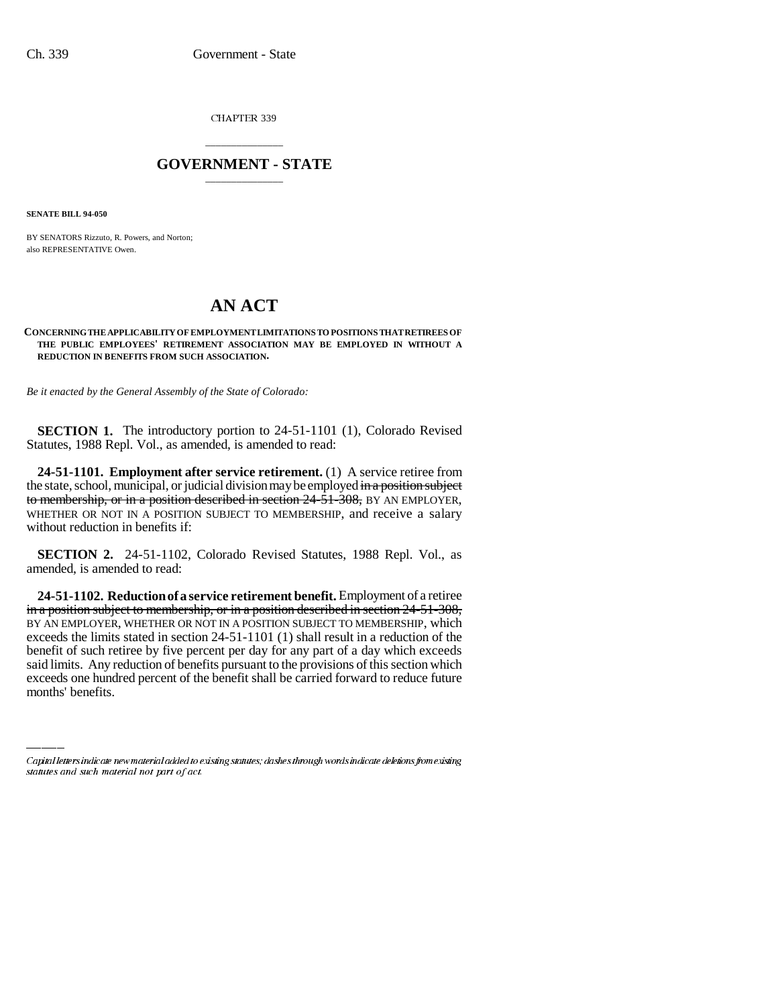CHAPTER 339

## \_\_\_\_\_\_\_\_\_\_\_\_\_\_\_ **GOVERNMENT - STATE** \_\_\_\_\_\_\_\_\_\_\_\_\_\_\_

**SENATE BILL 94-050**

BY SENATORS Rizzuto, R. Powers, and Norton; also REPRESENTATIVE Owen.

## **AN ACT**

## **CONCERNING THE APPLICABILITY OF EMPLOYMENT LIMITATIONS TO POSITIONS THAT RETIREES OF THE PUBLIC EMPLOYEES' RETIREMENT ASSOCIATION MAY BE EMPLOYED IN WITHOUT A REDUCTION IN BENEFITS FROM SUCH ASSOCIATION.**

*Be it enacted by the General Assembly of the State of Colorado:*

**SECTION 1.** The introductory portion to 24-51-1101 (1), Colorado Revised Statutes, 1988 Repl. Vol., as amended, is amended to read:

**24-51-1101. Employment after service retirement.** (1) A service retiree from the state, school, municipal, or judicial division may be employed in a position subject to membership, or in a position described in section 24-51-308, BY AN EMPLOYER, WHETHER OR NOT IN A POSITION SUBJECT TO MEMBERSHIP, and receive a salary without reduction in benefits if:

**SECTION 2.** 24-51-1102, Colorado Revised Statutes, 1988 Repl. Vol., as amended, is amended to read:

benefit of such retiree by five percent per day for any part of a day which exceeds **24-51-1102. Reduction of a service retirement benefit.** Employment of a retiree in a position subject to membership, or in a position described in section 24-51-308, BY AN EMPLOYER, WHETHER OR NOT IN A POSITION SUBJECT TO MEMBERSHIP, which exceeds the limits stated in section 24-51-1101 (1) shall result in a reduction of the said limits. Any reduction of benefits pursuant to the provisions of this section which exceeds one hundred percent of the benefit shall be carried forward to reduce future months' benefits.

Capital letters indicate new material added to existing statutes; dashes through words indicate deletions from existing statutes and such material not part of act.